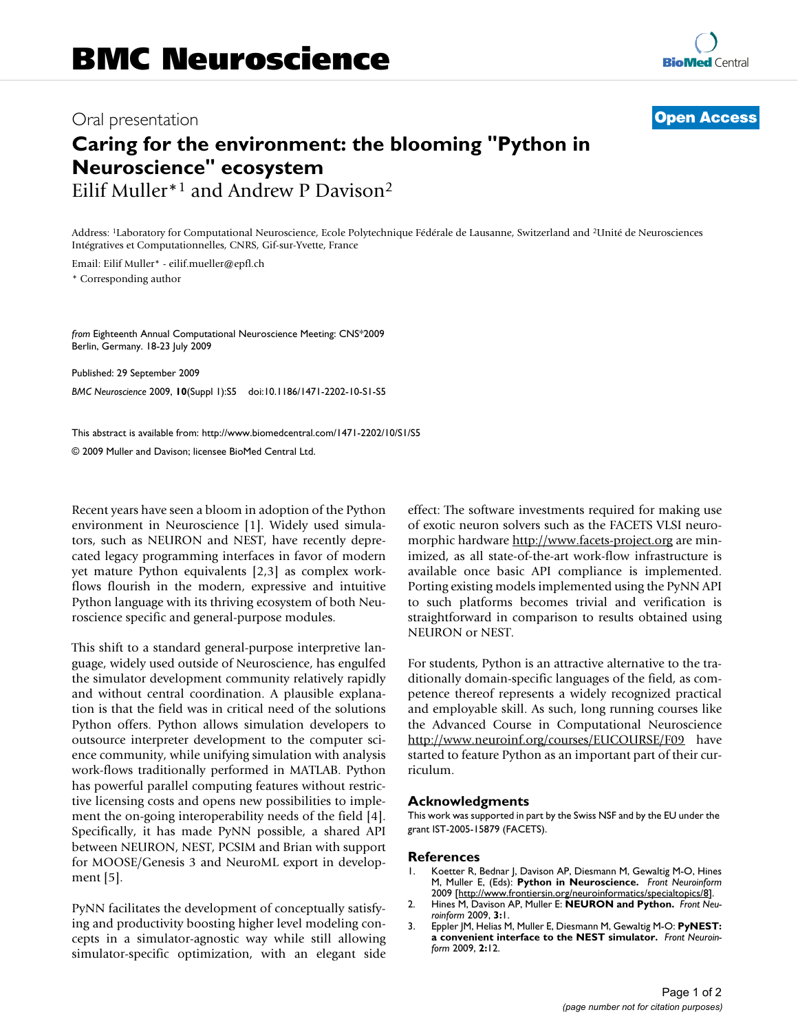# Oral presentation **[Open Access](http://www.biomedcentral.com/info/about/charter/)**

## **Caring for the environment: the blooming "Python in Neuroscience" ecosystem** Eilif Muller\*1 and Andrew P Davison2

Address: 1Laboratory for Computational Neuroscience, Ecole Polytechnique Fédérale de Lausanne, Switzerland and 2Unité de Neurosciences Intégratives et Computationnelles, CNRS, Gif-sur-Yvette, France

Email: Eilif Muller\* - eilif.mueller@epfl.ch

\* Corresponding author

*from* Eighteenth Annual Computational Neuroscience Meeting: CNS\*2009 Berlin, Germany. 18-23 July 2009

Published: 29 September 2009 *BMC Neuroscience* 2009, **10**(Suppl 1):S5 doi:10.1186/1471-2202-10-S1-S5

[This abstract is available from: http://www.biomedcentral.com/1471-2202/10/S1/S5](http://www.biomedcentral.com/1471-2202/10/S1/S5)

© 2009 Muller and Davison; licensee BioMed Central Ltd.

Recent years have seen a bloom in adoption of the Python environment in Neuroscience [1]. Widely used simulators, such as NEURON and NEST, have recently deprecated legacy programming interfaces in favor of modern yet mature Python equivalents [2,3] as complex workflows flourish in the modern, expressive and intuitive Python language with its thriving ecosystem of both Neuroscience specific and general-purpose modules.

This shift to a standard general-purpose interpretive language, widely used outside of Neuroscience, has engulfed the simulator development community relatively rapidly and without central coordination. A plausible explanation is that the field was in critical need of the solutions Python offers. Python allows simulation developers to outsource interpreter development to the computer science community, while unifying simulation with analysis work-flows traditionally performed in MATLAB. Python has powerful parallel computing features without restrictive licensing costs and opens new possibilities to implement the on-going interoperability needs of the field [4]. Specifically, it has made PyNN possible, a shared API between NEURON, NEST, PCSIM and Brian with support for MOOSE/Genesis 3 and NeuroML export in development [5].

PyNN facilitates the development of conceptually satisfying and productivity boosting higher level modeling concepts in a simulator-agnostic way while still allowing simulator-specific optimization, with an elegant side effect: The software investments required for making use of exotic neuron solvers such as the FACETS VLSI neuromorphic hardware<http://www.facets-project.org> are minimized, as all state-of-the-art work-flow infrastructure is available once basic API compliance is implemented. Porting existing models implemented using the PyNN API to such platforms becomes trivial and verification is straightforward in comparison to results obtained using NEURON or NEST.

For students, Python is an attractive alternative to the traditionally domain-specific languages of the field, as competence thereof represents a widely recognized practical and employable skill. As such, long running courses like the Advanced Course in Computational Neuroscience <http://www.neuroinf.org/courses/EUCOURSE/F09>have started to feature Python as an important part of their curriculum.

### **Acknowledgments**

This work was supported in part by the Swiss NSF and by the EU under the grant IST-2005-15879 (FACETS).

### **References**

- 1. Koetter R, Bednar J, Davison AP, Diesmann M, Gewaltig M-O, Hines M, Muller E, (Eds): **Python in Neuroscience.** *Front Neuroinform* 2009 [[http://www.frontiersin.org/neuroinformatics/specialtopics/8\]](http://www.frontiersin.org/neuroinformatics/specialtopics/8).
- 2. Hines M, Davison AP, Muller E: **NEURON and Python.** *Front Neuroinform* 2009, **3:**1.
- 3. Eppler JM, Helias M, Muller E, Diesmann M, Gewaltig M-O: **PyNEST: a convenient interface to the NEST simulator.** *Front Neuroinform* 2009, **2:**12.